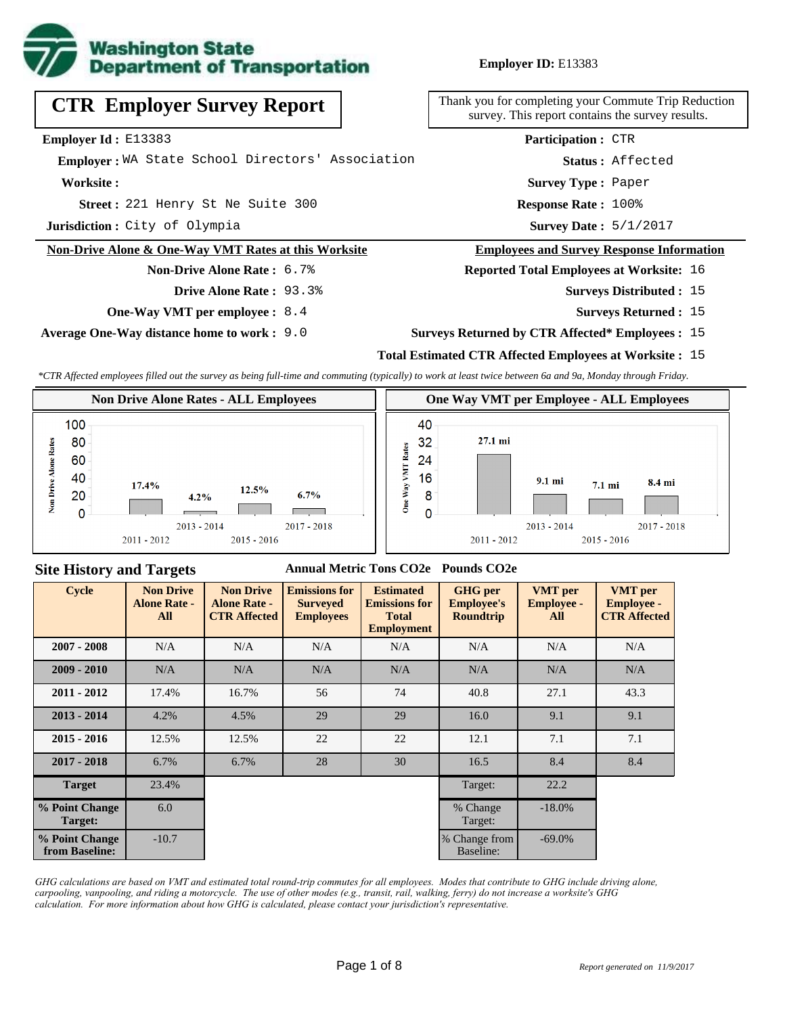

**Employer ID:** E13383

# **CTR Employer Survey Report**

**Employer Id :** E13383

 **Employer :** WA State School Directors' Association

**Worksite :**

221 Henry St Ne Suite 300 **Response Rate : Street :**

**Jurisdiction :** City of Olympia

#### **Non-Drive Alone & One-Way VMT Rates at this Worksite**

**Non-Drive Alone Rate :** 6.7%

**Drive Alone Rate :** 93.3%

**One-Way VMT per employee :** 8.4

**Average One-Way distance home to work :** 9.0

Thank you for completing your Commute Trip Reduction survey. This report contains the survey results.

> Response Rate: 100% **Survey Type :** Paper **Status :** Affected **Participation :** CTR

Survey Date: 5/1/2017

#### **Employees and Survey Response Information**

**Reported Total Employees at Worksite:** 16

- Surveys Distributed : 15
	- **Surveys Returned :** 15

#### **Surveys Returned by CTR Affected\* Employees :** 15

### **Total Estimated CTR Affected Employees at Worksite :** 15

*\*CTR Affected employees filled out the survey as being full-time and commuting (typically) to work at least twice between 6a and 9a, Monday through Friday.*



#### **Site History and Targets**

#### **Annual Metric Tons CO2e Pounds CO2e**

| <b>Cycle</b>                     | <b>Non Drive</b><br><b>Alone Rate -</b><br>All | <b>Non Drive</b><br><b>Alone Rate -</b><br><b>CTR Affected</b> | <b>Emissions for</b><br><b>Surveyed</b><br><b>Employees</b> | <b>Estimated</b><br><b>Emissions for</b><br><b>Total</b><br><b>Employment</b> | <b>GHG</b> per<br><b>Employee's</b><br><b>Roundtrip</b> | <b>VMT</b> per<br><b>Employee -</b><br>All | <b>VMT</b> per<br><b>Employee -</b><br><b>CTR Affected</b> |
|----------------------------------|------------------------------------------------|----------------------------------------------------------------|-------------------------------------------------------------|-------------------------------------------------------------------------------|---------------------------------------------------------|--------------------------------------------|------------------------------------------------------------|
| $2007 - 2008$                    | N/A                                            | N/A                                                            | N/A                                                         | N/A                                                                           | N/A                                                     | N/A                                        | N/A                                                        |
| $2009 - 2010$                    | N/A                                            | N/A                                                            | N/A                                                         | N/A                                                                           | N/A                                                     | N/A                                        | N/A                                                        |
| $2011 - 2012$                    | 17.4%                                          | 16.7%                                                          | 56                                                          | 74                                                                            | 40.8                                                    | 27.1                                       | 43.3                                                       |
| $2013 - 2014$                    | 4.2%                                           | 4.5%                                                           | 29                                                          | 29                                                                            | 16.0                                                    | 9.1                                        | 9.1                                                        |
| $2015 - 2016$                    | 12.5%                                          | 12.5%                                                          | 22                                                          | 22                                                                            | 12.1                                                    | 7.1                                        | 7.1                                                        |
| $2017 - 2018$                    | 6.7%                                           | 6.7%                                                           | 28                                                          | 30                                                                            | 16.5                                                    | 8.4                                        | 8.4                                                        |
| <b>Target</b>                    | 23.4%                                          |                                                                |                                                             |                                                                               | Target:                                                 | 22.2                                       |                                                            |
| % Point Change<br>Target:        | 6.0                                            |                                                                |                                                             |                                                                               | % Change<br>Target:                                     | $-18.0\%$                                  |                                                            |
| % Point Change<br>from Baseline: | $-10.7$                                        |                                                                |                                                             |                                                                               | % Change from<br>Baseline:                              | $-69.0\%$                                  |                                                            |

*GHG calculations are based on VMT and estimated total round-trip commutes for all employees. Modes that contribute to GHG include driving alone, carpooling, vanpooling, and riding a motorcycle. The use of other modes (e.g., transit, rail, walking, ferry) do not increase a worksite's GHG calculation. For more information about how GHG is calculated, please contact your jurisdiction's representative.*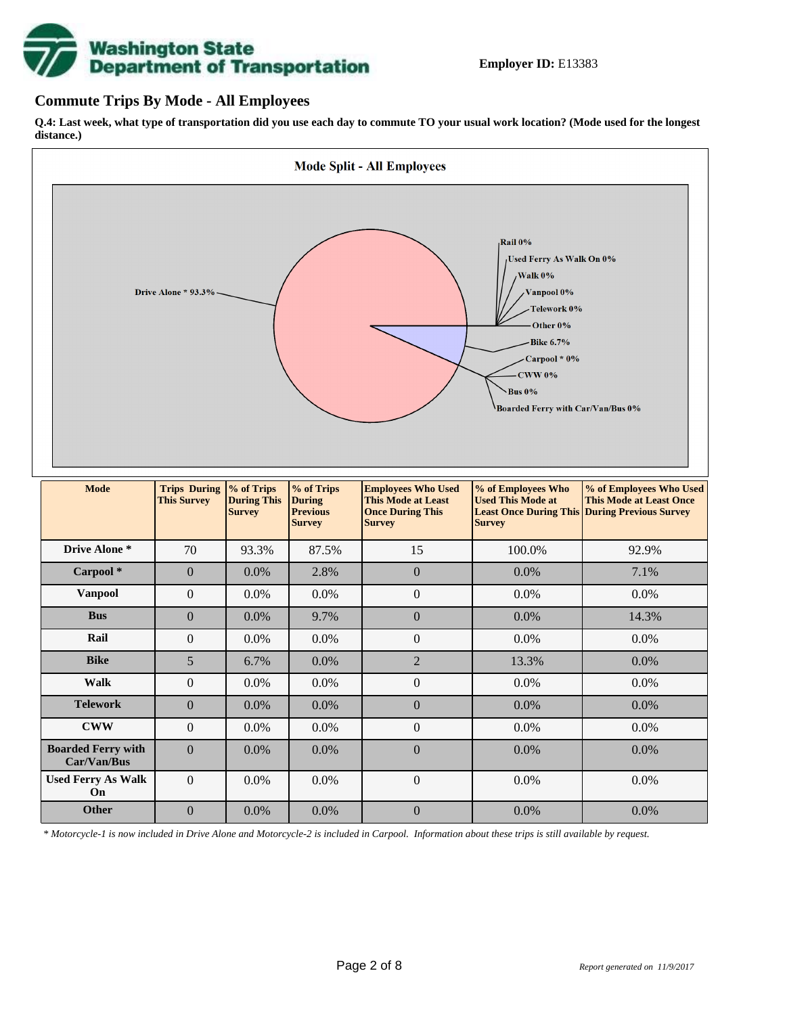# **Washington State<br>Department of Transportation**

## **Commute Trips By Mode - All Employees**

**Q.4: Last week, what type of transportation did you use each day to commute TO your usual work location? (Mode used for the longest distance.)**



*\* Motorcycle-1 is now included in Drive Alone and Motorcycle-2 is included in Carpool. Information about these trips is still available by request.*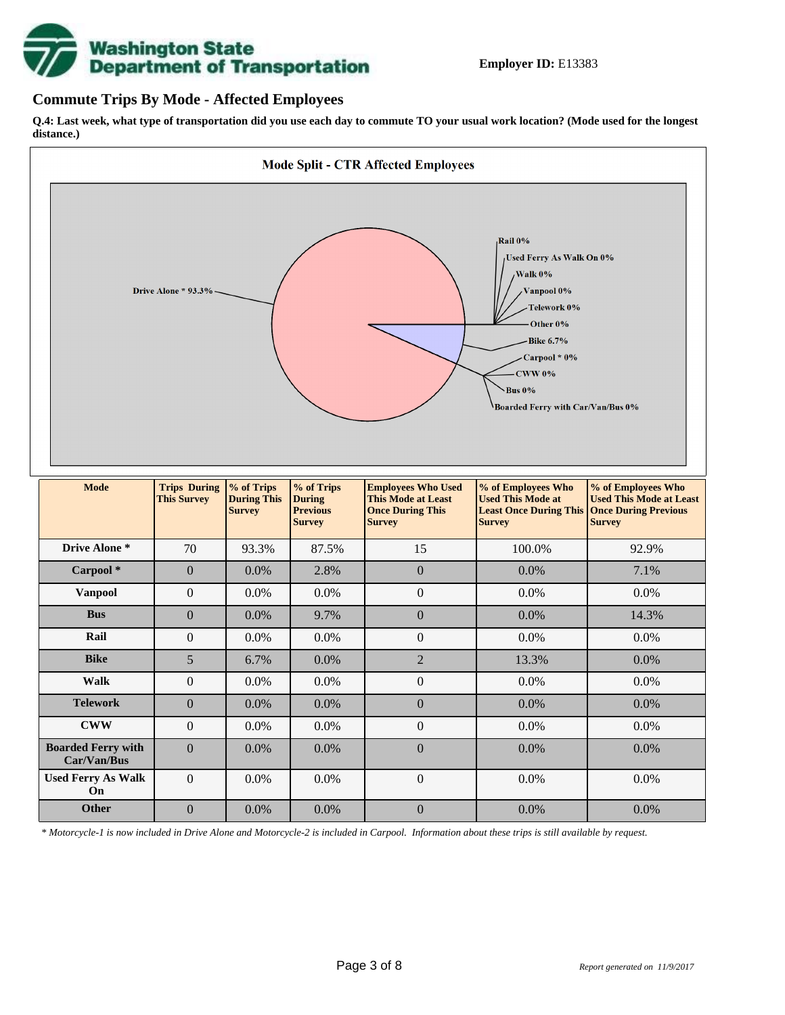

## **Commute Trips By Mode - Affected Employees**

**Q.4: Last week, what type of transportation did you use each day to commute TO your usual work location? (Mode used for the longest distance.)**



*\* Motorcycle-1 is now included in Drive Alone and Motorcycle-2 is included in Carpool. Information about these trips is still available by request.*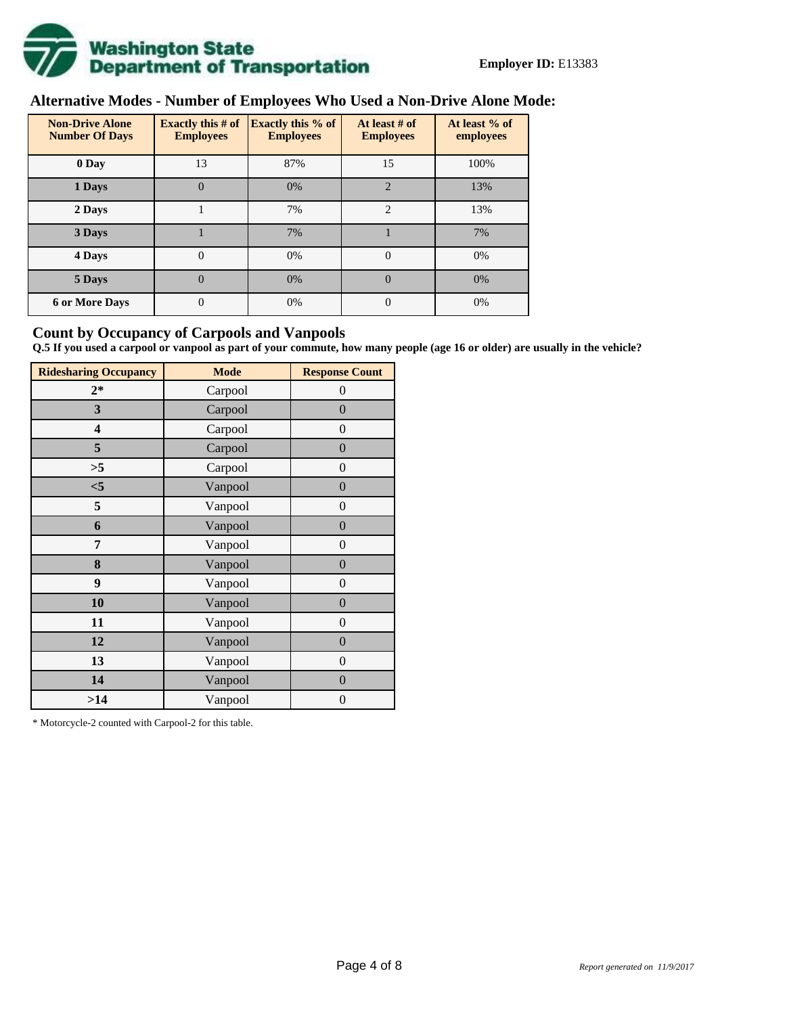

# **Alternative Modes - Number of Employees Who Used a Non-Drive Alone Mode:**

| <b>Non-Drive Alone</b><br><b>Number Of Days</b> | <b>Exactly this # of</b><br><b>Employees</b> | <b>Exactly this % of</b><br><b>Employees</b> | At least # of<br><b>Employees</b> | At least % of<br>employees |  |  |
|-------------------------------------------------|----------------------------------------------|----------------------------------------------|-----------------------------------|----------------------------|--|--|
| 0 Day                                           | 13                                           | 87%                                          | 15                                | 100%                       |  |  |
| 1 Days                                          | $\overline{0}$                               | 0%                                           | $\overline{2}$                    | 13%                        |  |  |
| 2 Days                                          |                                              | 7%                                           | $\mathcal{D}_{\mathcal{L}}$       | 13%                        |  |  |
| 3 Days                                          |                                              | 7%                                           |                                   | 7%                         |  |  |
| 4 Days                                          | $\Omega$                                     | 0%                                           | $\Omega$                          | 0%                         |  |  |
| 5 Days                                          | 0                                            | 0%                                           | $\theta$                          | 0%                         |  |  |
| <b>6 or More Days</b>                           | 0                                            | 0%                                           | $\Omega$                          | 0%                         |  |  |

## **Count by Occupancy of Carpools and Vanpools**

**Q.5 If you used a carpool or vanpool as part of your commute, how many people (age 16 or older) are usually in the vehicle?**

| <b>Ridesharing Occupancy</b> | <b>Mode</b> | <b>Response Count</b> |
|------------------------------|-------------|-----------------------|
| $2*$                         | Carpool     | $\theta$              |
| 3                            | Carpool     | $\overline{0}$        |
| 4                            | Carpool     | $\boldsymbol{0}$      |
| 5                            | Carpool     | $\overline{0}$        |
| >5                           | Carpool     | $\boldsymbol{0}$      |
| $<$ 5                        | Vanpool     | $\overline{0}$        |
| 5                            | Vanpool     | $\overline{0}$        |
| 6                            | Vanpool     | $\boldsymbol{0}$      |
| 7                            | Vanpool     | $\boldsymbol{0}$      |
| 8                            | Vanpool     | $\overline{0}$        |
| 9                            | Vanpool     | $\overline{0}$        |
| 10                           | Vanpool     | $\overline{0}$        |
| 11                           | Vanpool     | $\boldsymbol{0}$      |
| 12                           | Vanpool     | $\boldsymbol{0}$      |
| 13                           | Vanpool     | $\boldsymbol{0}$      |
| 14                           | Vanpool     | $\overline{0}$        |
| >14                          | Vanpool     | $\boldsymbol{0}$      |

\* Motorcycle-2 counted with Carpool-2 for this table.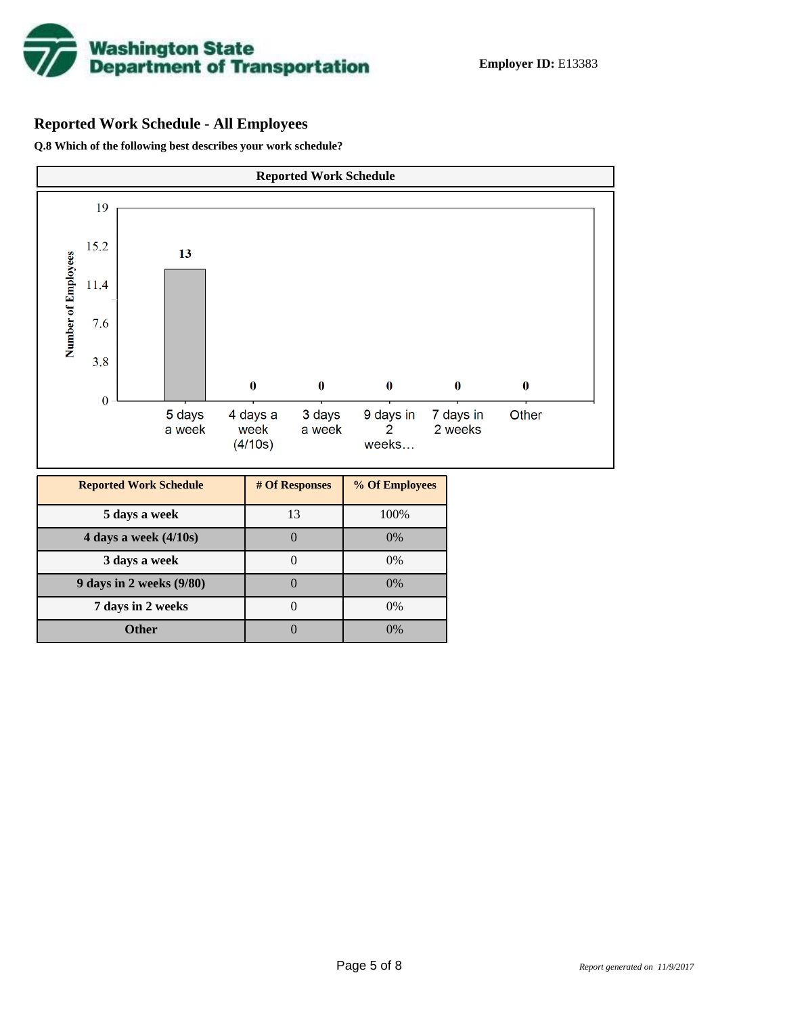

# **Reported Work Schedule - All Employees**

**Q.8 Which of the following best describes your work schedule?**

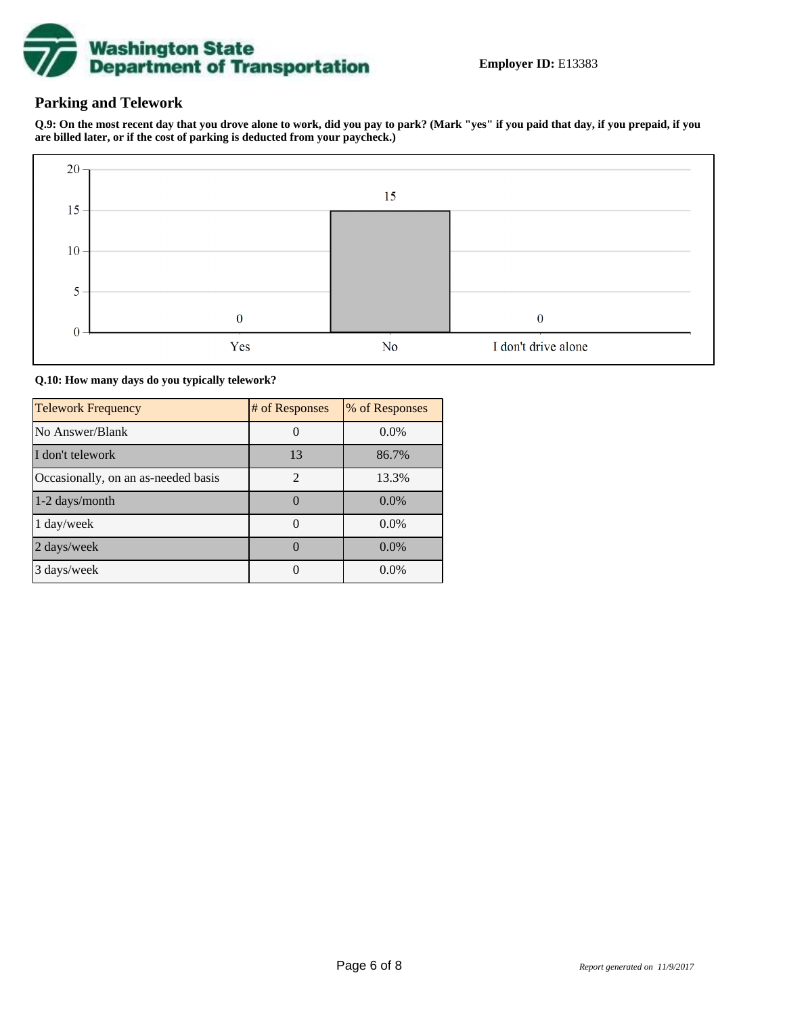

## **Parking and Telework**

**Q.9: On the most recent day that you drove alone to work, did you pay to park? (Mark "yes" if you paid that day, if you prepaid, if you are billed later, or if the cost of parking is deducted from your paycheck.)**



**Q.10: How many days do you typically telework?**

| <b>Telework Frequency</b>           | # of Responses | % of Responses |
|-------------------------------------|----------------|----------------|
| No Answer/Blank                     |                | $0.0\%$        |
| I don't telework                    | 13             | 86.7%          |
| Occasionally, on an as-needed basis | $\mathfrak{D}$ | 13.3%          |
| 1-2 days/month                      |                | $0.0\%$        |
| 1 day/week                          |                | $0.0\%$        |
| 2 days/week                         |                | $0.0\%$        |
| 3 days/week                         |                | $0.0\%$        |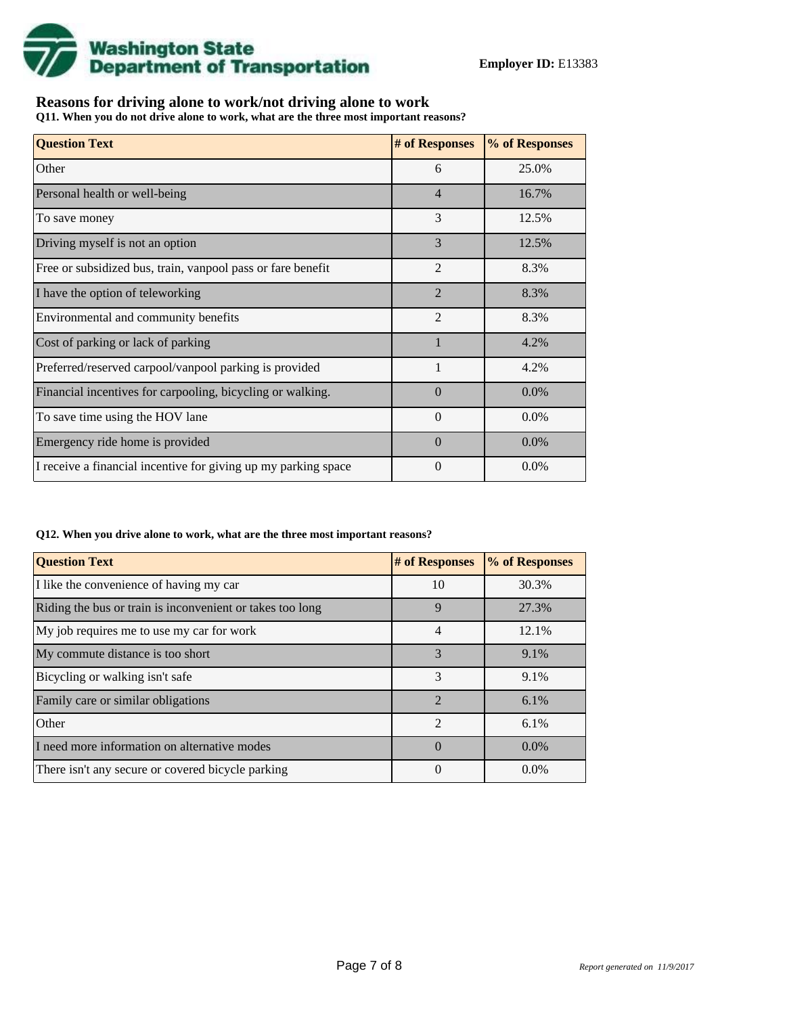

## **Reasons for driving alone to work/not driving alone to work**

**Q11. When you do not drive alone to work, what are the three most important reasons?**

| <b>Question Text</b>                                           | # of Responses | % of Responses |
|----------------------------------------------------------------|----------------|----------------|
| Other                                                          | 6              | 25.0%          |
| Personal health or well-being                                  | $\overline{4}$ | 16.7%          |
| To save money                                                  | 3              | 12.5%          |
| Driving myself is not an option                                | 3              | 12.5%          |
| Free or subsidized bus, train, vanpool pass or fare benefit    | $\overline{2}$ | 8.3%           |
| I have the option of teleworking                               | $\overline{2}$ | 8.3%           |
| Environmental and community benefits                           | $\overline{2}$ | 8.3%           |
| Cost of parking or lack of parking                             |                | 4.2%           |
| Preferred/reserved carpool/vanpool parking is provided         | $\mathbf{1}$   | 4.2%           |
| Financial incentives for carpooling, bicycling or walking.     | $\Omega$       | 0.0%           |
| To save time using the HOV lane                                | $\overline{0}$ | $0.0\%$        |
| Emergency ride home is provided                                | $\Omega$       | $0.0\%$        |
| I receive a financial incentive for giving up my parking space | $\Omega$       | $0.0\%$        |

#### **Q12. When you drive alone to work, what are the three most important reasons?**

| <b>Question Text</b>                                      | # of Responses | % of Responses |
|-----------------------------------------------------------|----------------|----------------|
| I like the convenience of having my car                   | 10             | 30.3%          |
| Riding the bus or train is inconvenient or takes too long | 9              | 27.3%          |
| My job requires me to use my car for work                 | 4              | 12.1%          |
| My commute distance is too short                          | 3              | 9.1%           |
| Bicycling or walking isn't safe                           | 3              | 9.1%           |
| Family care or similar obligations                        | $\mathfrak{D}$ | $6.1\%$        |
| Other                                                     | $\mathfrak{D}$ | $6.1\%$        |
| I need more information on alternative modes              | $\Omega$       | $0.0\%$        |
| There isn't any secure or covered bicycle parking         | $\theta$       | $0.0\%$        |